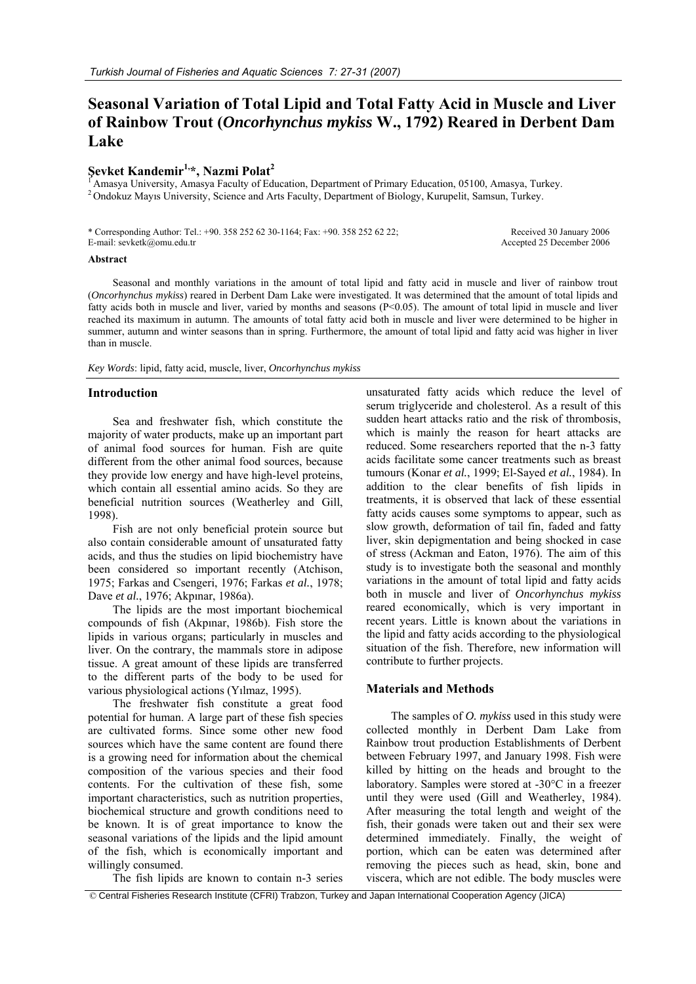# **Seasonal Variation of Total Lipid and Total Fatty Acid in Muscle and Liver of Rainbow Trout (***Oncorhynchus mykiss* **W., 1792) Reared in Derbent Dam Lake**

# **Şevket Kandemir1,\*, Nazmi Polat2**

<sup>1</sup> Amasya University, Amasya Faculty of Education, Department of Primary Education, 05100, Amasya, Turkey. <sup>2</sup> Ondokuz Mayıs University, Science and Arts Faculty, Department of Biology, Kurupelit, Samsun, Turkey.

\* Corresponding Author: Tel.: +90. 358 252 62 30-1164; Fax: +90. 358 252 62 22; E-mail: sevketk@omu.edu.tr

#### Received 30 January 2006 Accepted 25 December 2006

#### **Abstract**

Seasonal and monthly variations in the amount of total lipid and fatty acid in muscle and liver of rainbow trout (*Oncorhynchus mykiss*) reared in Derbent Dam Lake were investigated. It was determined that the amount of total lipids and fatty acids both in muscle and liver, varied by months and seasons  $(P<0.05)$ . The amount of total lipid in muscle and liver reached its maximum in autumn. The amounts of total fatty acid both in muscle and liver were determined to be higher in summer, autumn and winter seasons than in spring. Furthermore, the amount of total lipid and fatty acid was higher in liver than in muscle.

*Key Words*: lipid, fatty acid, muscle, liver, *Oncorhynchus mykiss* 

#### **Introduction**

Sea and freshwater fish, which constitute the majority of water products, make up an important part of animal food sources for human. Fish are quite different from the other animal food sources, because they provide low energy and have high-level proteins, which contain all essential amino acids. So they are beneficial nutrition sources (Weatherley and Gill, 1998).

Fish are not only beneficial protein source but also contain considerable amount of unsaturated fatty acids, and thus the studies on lipid biochemistry have been considered so important recently (Atchison, 1975; Farkas and Csengeri, 1976; Farkas *et al.*, 1978; Dave *et al.*, 1976; Akpınar, 1986a).

The lipids are the most important biochemical compounds of fish (Akpınar, 1986b). Fish store the lipids in various organs; particularly in muscles and liver. On the contrary, the mammals store in adipose tissue. A great amount of these lipids are transferred to the different parts of the body to be used for various physiological actions (Yılmaz, 1995).

The freshwater fish constitute a great food potential for human. A large part of these fish species are cultivated forms. Since some other new food sources which have the same content are found there is a growing need for information about the chemical composition of the various species and their food contents. For the cultivation of these fish, some important characteristics, such as nutrition properties, biochemical structure and growth conditions need to be known. It is of great importance to know the seasonal variations of the lipids and the lipid amount of the fish, which is economically important and willingly consumed.

The fish lipids are known to contain n-3 series

unsaturated fatty acids which reduce the level of serum triglyceride and cholesterol. As a result of this sudden heart attacks ratio and the risk of thrombosis, which is mainly the reason for heart attacks are reduced. Some researchers reported that the n-3 fatty acids facilitate some cancer treatments such as breast tumours (Konar *et al.*, 1999; El-Sayed *et al.*, 1984). In addition to the clear benefits of fish lipids in treatments, it is observed that lack of these essential fatty acids causes some symptoms to appear, such as slow growth, deformation of tail fin, faded and fatty liver, skin depigmentation and being shocked in case of stress (Ackman and Eaton, 1976). The aim of this study is to investigate both the seasonal and monthly variations in the amount of total lipid and fatty acids both in muscle and liver of *Oncorhynchus mykiss* reared economically, which is very important in recent years. Little is known about the variations in the lipid and fatty acids according to the physiological situation of the fish. Therefore, new information will contribute to further projects.

## **Materials and Methods**

The samples of *O. mykiss* used in this study were collected monthly in Derbent Dam Lake from Rainbow trout production Establishments of Derbent between February 1997, and January 1998. Fish were killed by hitting on the heads and brought to the laboratory. Samples were stored at -30°C in a freezer until they were used (Gill and Weatherley, 1984). After measuring the total length and weight of the fish, their gonads were taken out and their sex were determined immediately. Finally, the weight of portion, which can be eaten was determined after removing the pieces such as head, skin, bone and viscera, which are not edible. The body muscles were

© Central Fisheries Research Institute (CFRI) Trabzon, Turkey and Japan International Cooperation Agency (JICA)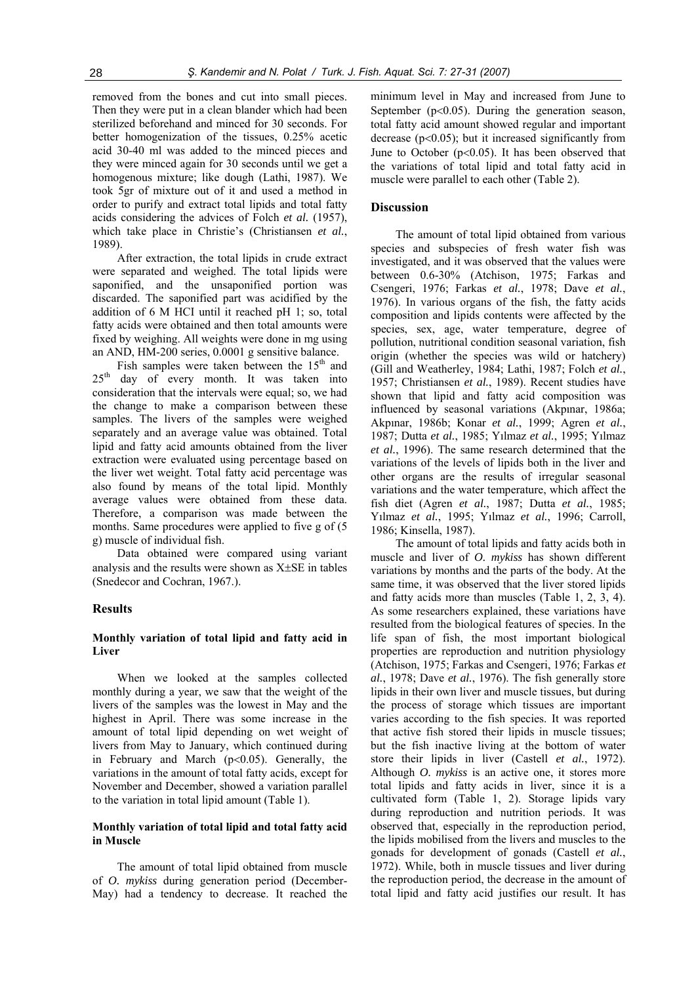removed from the bones and cut into small pieces. Then they were put in a clean blander which had been sterilized beforehand and minced for 30 seconds. For better homogenization of the tissues, 0.25% acetic acid 30-40 ml was added to the minced pieces and they were minced again for 30 seconds until we get a homogenous mixture; like dough (Lathi, 1987). We took 5gr of mixture out of it and used a method in order to purify and extract total lipids and total fatty acids considering the advices of Folch *et al.* (1957), which take place in Christie's (Christiansen *et al.*, 1989).

After extraction, the total lipids in crude extract were separated and weighed. The total lipids were saponified, and the unsaponified portion was discarded. The saponified part was acidified by the addition of 6 M HCI until it reached pH 1; so, total fatty acids were obtained and then total amounts were fixed by weighing. All weights were done in mg using an AND, HM-200 series, 0.0001 g sensitive balance.

Fish samples were taken between the  $15<sup>th</sup>$  and 25<sup>th</sup> day of every month. It was taken into consideration that the intervals were equal; so, we had the change to make a comparison between these samples. The livers of the samples were weighed separately and an average value was obtained. Total lipid and fatty acid amounts obtained from the liver extraction were evaluated using percentage based on the liver wet weight. Total fatty acid percentage was also found by means of the total lipid. Monthly average values were obtained from these data. Therefore, a comparison was made between the months. Same procedures were applied to five g of (5 g) muscle of individual fish.

Data obtained were compared using variant analysis and the results were shown as X±SE in tables (Snedecor and Cochran, 1967.).

#### **Results**

#### **Monthly variation of total lipid and fatty acid in Liver**

When we looked at the samples collected monthly during a year, we saw that the weight of the livers of the samples was the lowest in May and the highest in April. There was some increase in the amount of total lipid depending on wet weight of livers from May to January, which continued during in February and March (p<0.05). Generally, the variations in the amount of total fatty acids, except for November and December, showed a variation parallel to the variation in total lipid amount (Table 1).

### **Monthly variation of total lipid and total fatty acid in Muscle**

The amount of total lipid obtained from muscle of *O. mykiss* during generation period (December-May) had a tendency to decrease. It reached the minimum level in May and increased from June to September  $(p<0.05)$ . During the generation season, total fatty acid amount showed regular and important decrease  $(p<0.05)$ ; but it increased significantly from June to October  $(p<0.05)$ . It has been observed that the variations of total lipid and total fatty acid in muscle were parallel to each other (Table 2).

#### **Discussion**

The amount of total lipid obtained from various species and subspecies of fresh water fish was investigated, and it was observed that the values were between 0.6-30% (Atchison, 1975; Farkas and Csengeri, 1976; Farkas *et al.*, 1978; Dave *et al.*, 1976). In various organs of the fish, the fatty acids composition and lipids contents were affected by the species, sex, age, water temperature, degree of pollution, nutritional condition seasonal variation, fish origin (whether the species was wild or hatchery) (Gill and Weatherley, 1984; Lathi, 1987; Folch *et al.*, 1957; Christiansen *et al.*, 1989). Recent studies have shown that lipid and fatty acid composition was influenced by seasonal variations (Akpınar, 1986a; Akpınar, 1986b; Konar *et al.*, 1999; Agren *et al.*, 1987; Dutta *et al.*, 1985; Yılmaz *et al.*, 1995; Yılmaz *et al.*, 1996). The same research determined that the variations of the levels of lipids both in the liver and other organs are the results of irregular seasonal variations and the water temperature, which affect the fish diet (Agren *et al.*, 1987; Dutta *et al.*, 1985; Yılmaz *et al.*, 1995; Yılmaz *et al.*, 1996; Carroll, 1986; Kinsella, 1987).

The amount of total lipids and fatty acids both in muscle and liver of *O. mykiss* has shown different variations by months and the parts of the body. At the same time, it was observed that the liver stored lipids and fatty acids more than muscles (Table 1, 2, 3, 4). As some researchers explained, these variations have resulted from the biological features of species. In the life span of fish, the most important biological properties are reproduction and nutrition physiology (Atchison, 1975; Farkas and Csengeri, 1976; Farkas *et al.*, 1978; Dave *et al.*, 1976). The fish generally store lipids in their own liver and muscle tissues, but during the process of storage which tissues are important varies according to the fish species. It was reported that active fish stored their lipids in muscle tissues; but the fish inactive living at the bottom of water store their lipids in liver (Castell *et al.*, 1972). Although *O. mykiss* is an active one, it stores more total lipids and fatty acids in liver, since it is a cultivated form (Table 1, 2). Storage lipids vary during reproduction and nutrition periods. It was observed that, especially in the reproduction period, the lipids mobilised from the livers and muscles to the gonads for development of gonads (Castell *et al.*, 1972). While, both in muscle tissues and liver during the reproduction period, the decrease in the amount of total lipid and fatty acid justifies our result. It has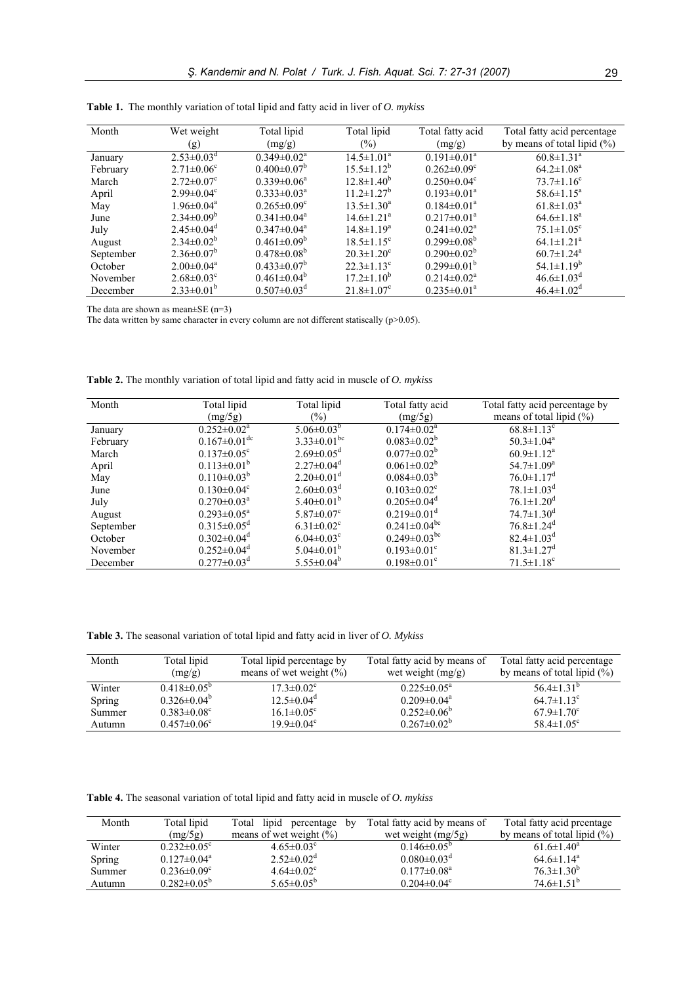| Month     | Wet weight                   | Total lipid                   | Total lipid                  | Total fatty acid              | Total fatty acid percentage    |
|-----------|------------------------------|-------------------------------|------------------------------|-------------------------------|--------------------------------|
|           | (g)                          | (mg/g)                        | $(\%)$                       | (mg/g)                        | by means of total lipid $(\%)$ |
| January   | $2.53 \pm 0.03$ <sup>d</sup> | $0.349 \pm 0.02^a$            | $14.5 \pm 1.01^a$            | $0.191 \pm 0.01^a$            | $60.8 \pm 1.31$ <sup>a</sup>   |
| February  | $2.71 \pm 0.06^{\circ}$      | $0.400 \pm 0.07^b$            | $15.5 \pm 1.12^b$            | $0.262 \pm 0.09$ <sup>c</sup> | $64.2 \pm 1.08^a$              |
| March     | $2.72 \pm 0.07$ °            | $0.339 \pm 0.06^a$            | $12.8 \pm 1.40^b$            | $0.250 \pm 0.04$ <sup>c</sup> | $73.7 \pm 1.16^c$              |
| April     | $2.99 \pm 0.04$ <sup>c</sup> | $0.333 \pm 0.03^a$            | $11.2 \pm 1.27^b$            | $0.193 \pm 0.01^a$            | $58.6 \pm 1.15^a$              |
| May       | $1.96 \pm 0.04^a$            | $0.265 \pm 0.09$ <sup>c</sup> | $13.5 \pm 1.30^a$            | $0.184 \pm 0.01^a$            | $61.8 \pm 1.03^{\circ}$        |
| June      | $2.34 \pm 0.09^b$            | $0.341 \pm 0.04$ <sup>a</sup> | $14.6 \pm 1.21^a$            | $0.217 \pm 0.01^a$            | $64.6 \pm 1.18$ <sup>a</sup>   |
| July      | $2.45 \pm 0.04$ <sup>d</sup> | $0.347 \pm 0.04^{\text{a}}$   | $14.8 \pm 1.19^a$            | $0.241 \pm 0.02^a$            | $75.1 \pm 1.05$ <sup>c</sup>   |
| August    | $2.34 \pm 0.02^b$            | $0.461 \pm 0.09^b$            | $18.5 \pm 1.15$ <sup>c</sup> | $0.299 \pm 0.08^b$            | $64.1 \pm 1.21^a$              |
| September | $2.36 \pm 0.07^b$            | $0.478 \pm 0.08^b$            | $20.3 \pm 1.20^c$            | $0.290 \pm 0.02^b$            | $60.7 \pm 1.24$ <sup>a</sup>   |
| October   | $2.00 \pm 0.04^a$            | $0.433 \pm 0.07^b$            | $22.3 \pm 1.13^c$            | $0.299 \pm 0.01^{\circ}$      | $54.1 \pm 1.19^b$              |
| November  | $2.68 \pm 0.03$ <sup>c</sup> | $0.461 \pm 0.04^b$            | $17.2 \pm 1.10^b$            | $0.214 \pm 0.02^a$            | $46.6 \pm 1.03$ <sup>d</sup>   |
| December  | $2.33\pm0.01^{b}$            | $0.507 \pm 0.03$ <sup>d</sup> | $21.8 \pm 1.07$ <sup>c</sup> | $0.235 \pm 0.01^a$            | $46.4 \pm 1.02^{\mathrm{d}}$   |

**Table 1.** The monthly variation of total lipid and fatty acid in liver of *O. mykiss*

The data are shown as mean±SE (n=3)

The data written by same character in every column are not different statiscally  $(p>0.05)$ .

| Month     | Total lipid                    | Total lipid                   | Total fatty acid               | Total fatty acid percentage by |
|-----------|--------------------------------|-------------------------------|--------------------------------|--------------------------------|
|           | (mg/5g)                        | $(\%)$                        | (mg/5g)                        | means of total lipid $(\%)$    |
| January   | $0.252 \pm 0.02^a$             | $5.06 \pm 0.03^{b}$           | $0.174 \pm 0.02^a$             | $68.8 \pm 1.13$ <sup>c</sup>   |
| February  | $0.167 \pm 0.01$ <sup>dc</sup> | $3.33 \pm 0.01$ <sup>bc</sup> | $0.083 \pm 0.02^b$             | $50.3 \pm 1.04^a$              |
| March     | $0.137 \pm 0.05$ <sup>c</sup>  | $2.69 \pm 0.05$ <sup>d</sup>  | $0.077 \pm 0.02^b$             | $60.9 \pm 1.12^a$              |
| April     | $0.113 \pm 0.01^b$             | $2.27 \pm 0.04$ <sup>d</sup>  | $0.061 \pm 0.02^b$             | $54.7 \pm 1.09^a$              |
| May       | $0.110 \pm 0.03^b$             | $2.20\pm0.01$ <sup>d</sup>    | $0.084 \pm 0.03^b$             | $76.0 \pm 1.17$ <sup>d</sup>   |
| June      | $0.130 \pm 0.04$ <sup>c</sup>  | $2.60 \pm 0.03$ <sup>d</sup>  | $0.103 \pm 0.02$ <sup>c</sup>  | $78.1 \pm 1.03$ <sup>d</sup>   |
| July      | $0.270 \pm 0.03^{\text{a}}$    | $5.40\pm0.01^b$               | $0.205 \pm 0.04$ <sup>d</sup>  | $76.1 \pm 1.20$ <sup>d</sup>   |
| August    | $0.293 \pm 0.05^{\text{a}}$    | $5.87 \pm 0.07$ <sup>c</sup>  | $0.219 \pm 0.01$ <sup>d</sup>  | $74.7 \pm 1.30$ <sup>d</sup>   |
| September | $0.315 \pm 0.05$ <sup>d</sup>  | $6.31 \pm 0.02$ <sup>c</sup>  | $0.241 \pm 0.04$ <sup>bc</sup> | $76.8 \pm 1.24$ <sup>d</sup>   |
| October   | $0.302 \pm 0.04$ <sup>d</sup>  | $6.04 \pm 0.03$ <sup>c</sup>  | $0.249 \pm 0.03$ <sup>bc</sup> | $82.4 \pm 1.03$ <sup>d</sup>   |
| November  | $0.252 \pm 0.04$ <sup>d</sup>  | $5.04 \pm 0.01^b$             | $0.193 \pm 0.01$ <sup>c</sup>  | $81.3 \pm 1.27$ <sup>d</sup>   |
| December  | $0.277 \pm 0.03$ <sup>d</sup>  | $5.55 \pm 0.04^b$             | $0.198 \pm 0.01$ <sup>c</sup>  | $71.5 \pm 1.18$ <sup>c</sup>   |

**Table 2.** The monthly variation of total lipid and fatty acid in muscle of *O. mykiss*

**Table 3.** The seasonal variation of total lipid and fatty acid in liver of *O. Mykiss*

| Month  | Total lipid<br>(mg/g)         | Total lipid percentage by<br>means of wet weight $(\% )$ | Total fatty acid by means of<br>wet weight $(mg/g)$ | Total fatty acid percentage<br>by means of total lipid $(\%)$ |
|--------|-------------------------------|----------------------------------------------------------|-----------------------------------------------------|---------------------------------------------------------------|
| Winter | $0.418 \pm 0.05^{\circ}$      | $17.3 \pm 0.02$ <sup>c</sup>                             | $0.225 \pm 0.05^{\text{a}}$                         | $56.4 \pm 1.31^{\circ}$                                       |
| Spring | $0.326 \pm 0.04^b$            | $12.5 \pm 0.04$ <sup>d</sup>                             | $0.209 \pm 0.04^{\text{a}}$                         | $64.7 \pm 1.13$ <sup>c</sup>                                  |
| Summer | $0.383 \pm 0.08$ <sup>c</sup> | $16.1 \pm 0.05^{\circ}$                                  | $0.252 \pm 0.06^b$                                  | $67.9 \pm 1.70$ <sup>c</sup>                                  |
| Autumn | $0.457 \pm 0.06^{\circ}$      | $19.9 \pm 0.04$ <sup>c</sup>                             | $0.267 \pm 0.02^b$                                  | 58.4 $\pm$ 1.05 <sup>c</sup>                                  |

**Table 4.** The seasonal variation of total lipid and fatty acid in muscle of *O. mykiss*

| Month  | Total lipid                   | lipid<br>Total<br>percentage<br>by | Total fatty acid by means of  | Total fatty acid preentage     |
|--------|-------------------------------|------------------------------------|-------------------------------|--------------------------------|
|        | (mg/5g)                       | means of wet weight $(\% )$        | wet weight $(mg/5g)$          | by means of total lipid $(\%)$ |
| Winter | $0.232 \pm 0.05^{\circ}$      | $4.65 \pm 0.03$ <sup>c</sup>       | $0.146 \pm 0.05^{\circ}$      | $61.6 \pm 1.40^a$              |
| Spring | $0.127 \pm 0.04^a$            | $2.52 \pm 0.02^d$                  | $0.080 \pm 0.03$ <sup>d</sup> | $64.6 \pm 1.14^a$              |
| Summer | $0.236 \pm 0.09$ <sup>c</sup> | $4.64 \pm 0.02$ <sup>c</sup>       | $0.177 \pm 0.08^a$            | $76.3 \pm 1.30^b$              |
| Autumn | $0.282 \pm 0.05^{\circ}$      | $5.65 \pm 0.05^b$                  | $0.204 \pm 0.04$ <sup>c</sup> | $74.6 \pm 1.51^b$              |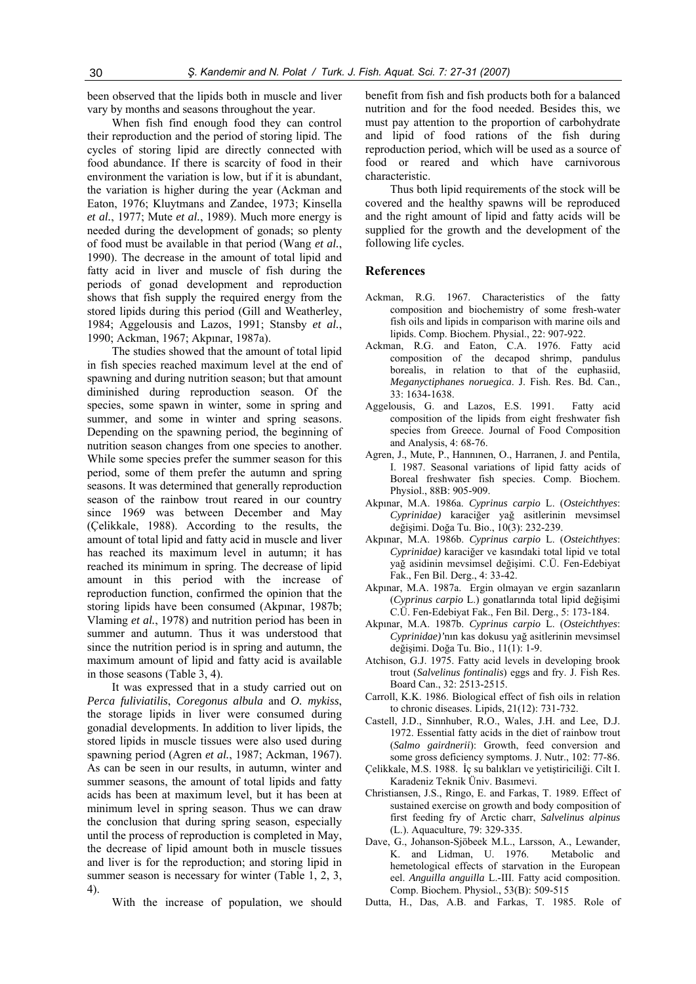been observed that the lipids both in muscle and liver vary by months and seasons throughout the year.

When fish find enough food they can control their reproduction and the period of storing lipid. The cycles of storing lipid are directly connected with food abundance. If there is scarcity of food in their environment the variation is low, but if it is abundant, the variation is higher during the year (Ackman and Eaton, 1976; Kluytmans and Zandee, 1973; Kinsella *et al.*, 1977; Mute *et al.*, 1989). Much more energy is needed during the development of gonads; so plenty of food must be available in that period (Wang *et al.*, 1990). The decrease in the amount of total lipid and fatty acid in liver and muscle of fish during the periods of gonad development and reproduction shows that fish supply the required energy from the stored lipids during this period (Gill and Weatherley, 1984; Aggelousis and Lazos, 1991; Stansby *et al.*, 1990; Ackman, 1967; Akpınar, 1987a).

The studies showed that the amount of total lipid in fish species reached maximum level at the end of spawning and during nutrition season; but that amount diminished during reproduction season. Of the species, some spawn in winter, some in spring and summer, and some in winter and spring seasons. Depending on the spawning period, the beginning of nutrition season changes from one species to another. While some species prefer the summer season for this period, some of them prefer the autumn and spring seasons. It was determined that generally reproduction season of the rainbow trout reared in our country since 1969 was between December and May (Çelikkale, 1988). According to the results, the amount of total lipid and fatty acid in muscle and liver has reached its maximum level in autumn; it has reached its minimum in spring. The decrease of lipid amount in this period with the increase of reproduction function, confirmed the opinion that the storing lipids have been consumed (Akpınar, 1987b; Vlaming *et al.*, 1978) and nutrition period has been in summer and autumn. Thus it was understood that since the nutrition period is in spring and autumn, the maximum amount of lipid and fatty acid is available in those seasons (Table 3, 4).

It was expressed that in a study carried out on *Perca fuliviatilis*, *Coregonus albula* and *O. mykiss*, the storage lipids in liver were consumed during gonadial developments. In addition to liver lipids, the stored lipids in muscle tissues were also used during spawning period (Agren *et al.*, 1987; Ackman, 1967). As can be seen in our results, in autumn, winter and summer seasons, the amount of total lipids and fatty acids has been at maximum level, but it has been at minimum level in spring season. Thus we can draw the conclusion that during spring season, especially until the process of reproduction is completed in May, the decrease of lipid amount both in muscle tissues and liver is for the reproduction; and storing lipid in summer season is necessary for winter (Table 1, 2, 3, 4).

With the increase of population, we should

benefit from fish and fish products both for a balanced nutrition and for the food needed. Besides this, we must pay attention to the proportion of carbohydrate and lipid of food rations of the fish during reproduction period, which will be used as a source of food or reared and which have carnivorous characteristic.

Thus both lipid requirements of the stock will be covered and the healthy spawns will be reproduced and the right amount of lipid and fatty acids will be supplied for the growth and the development of the following life cycles.

### **References**

- Ackman, R.G. 1967. Characteristics of the fatty composition and biochemistry of some fresh-water fish oils and lipids in comparison with marine oils and lipids. Comp. Biochem. Physial., 22: 907-922.
- Ackman, R.G. and Eaton, C.A. 1976. Fatty acid composition of the decapod shrimp, pandulus borealis, in relation to that of the euphasiid, *Meganyctiphanes noruegica*. J. Fish. Res. Bd. Can., 33: 1634-1638.
- Aggelousis, G. and Lazos, E.S. 1991. Fatty acid composition of the lipids from eight freshwater fish species from Greece. Journal of Food Composition and Analysis, 4: 68-76.
- Agren, J., Mute, P., Hannınen, O., Harranen, J. and Pentila, I. 1987. Seasonal variations of lipid fatty acids of Boreal freshwater fish species. Comp. Biochem. Physiol., 88B: 905-909.
- Akpınar, M.A. 1986a. *Cyprinus carpio* L. (*Osteichthyes*: *Cyprinidae)* karaciğer yağ asitlerinin mevsimsel değişimi. Doğa Tu. Bio., 10(3): 232-239.
- Akpınar, M.A. 1986b. *Cyprinus carpio* L. (*Osteichthyes*: *Cyprinidae)* karaciğer ve kasındaki total lipid ve total yağ asidinin mevsimsel değişimi. C.Ü. Fen-Edebiyat Fak., Fen Bil. Derg., 4: 33-42.
- Akpınar, M.A. 1987a. Ergin olmayan ve ergin sazanların (*Cyprinus carpio* L.) gonatlarında total lipid değişimi C.Ü. Fen-Edebiyat Fak., Fen Bil. Derg., 5: 173-184.
- Akpınar, M.A. 1987b. *Cyprinus carpio* L. (*Osteichthyes*: *Cyprinidae)'*nın kas dokusu yağ asitlerinin mevsimsel değişimi. Doğa Tu. Bio., 11(1): 1-9.
- Atchison, G.J. 1975. Fatty acid levels in developing brook trout (*Salvelinus fontinalis*) eggs and fry. J. Fish Res. Board Can., 32: 2513-2515.
- Carroll, K.K. 1986. Biological effect of fish oils in relation to chronic diseases. Lipids, 21(12): 731-732.
- Castell, J.D., Sinnhuber, R.O., Wales, J.H. and Lee, D.J. 1972. Essential fatty acids in the diet of rainbow trout (*Salmo gairdnerii*): Growth, feed conversion and some gross deficiency symptoms. J. Nutr., 102: 77-86.
- Çelikkale, M.S. 1988. İç su balıkları ve yetiştiriciliği. Cilt I. Karadeniz Teknik Üniv. Basımevi.
- Christiansen, J.S., Ringo, E. and Farkas, T. 1989. Effect of sustained exercise on growth and body composition of first feeding fry of Arctic charr, *Salvelinus alpinus* (L.). Aquaculture, 79: 329-335.
- Dave, G., Johanson-Sjöbeek M.L., Larsson, A., Lewander, K. and Lidman, U. 1976. Metabolic and hemetological effects of starvation in the European eel. *Anguilla anguilla* L.-III. Fatty acid composition. Comp. Biochem. Physiol., 53(B): 509-515
- Dutta, H., Das, A.B. and Farkas, T. 1985. Role of